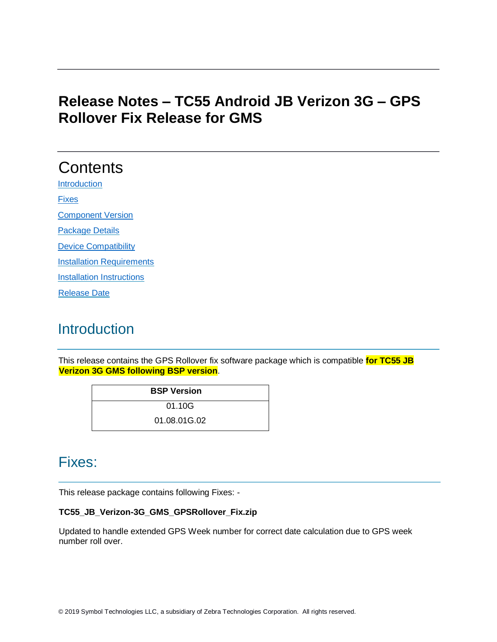## **Release Notes – TC55 Android JB Verizon 3G – GPS Rollover Fix Release for GMS**

# **Contents**

**[Introduction](#page-0-0)** 

[Fixes](#page-0-1)

[Component Version](#page-1-0)

[Package Details](#page-1-1)

[Device Compatibility](#page-1-2) 

[Installation Requirements](#page-1-3)

**[Installation Instructions](#page-2-0)** 

[Release Date](#page-2-1)

## <span id="page-0-0"></span>**Introduction**

This release contains the GPS Rollover fix software package which is compatible **for TC55 JB Verizon 3G GMS following BSP version**.

| <b>BSP Version</b> |  |
|--------------------|--|
| 01.10G             |  |
| 01.08.01G.02       |  |

## <span id="page-0-1"></span>Fixes:

This release package contains following Fixes: -

#### **TC55\_JB\_Verizon-3G\_GMS\_GPSRollover\_Fix.zip**

Updated to handle extended GPS Week number for correct date calculation due to GPS week number roll over.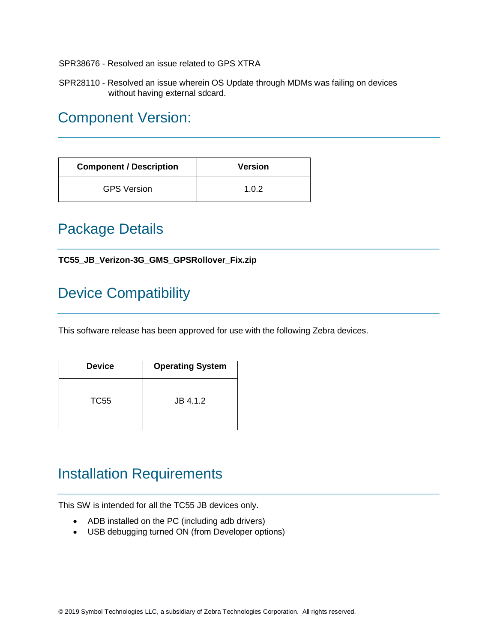SPR38676 - Resolved an issue related to GPS XTRA

SPR28110 - Resolved an issue wherein OS Update through MDMs was failing on devices without having external sdcard.

## <span id="page-1-0"></span>Component Version:

| <b>Component / Description</b> | <b>Version</b> |
|--------------------------------|----------------|
| <b>GPS Version</b>             | 1.0.2          |

#### <span id="page-1-1"></span>Package Details

**TC55\_JB\_Verizon-3G\_GMS\_GPSRollover\_Fix.zip**

## <span id="page-1-2"></span>Device Compatibility

This software release has been approved for use with the following Zebra devices.

| <b>Device</b> | <b>Operating System</b> |
|---------------|-------------------------|
| TC55          | JB 4.1.2                |

## <span id="page-1-3"></span>Installation Requirements

This SW is intended for all the TC55 JB devices only.

- ADB installed on the PC (including adb drivers)
- USB debugging turned ON (from Developer options)